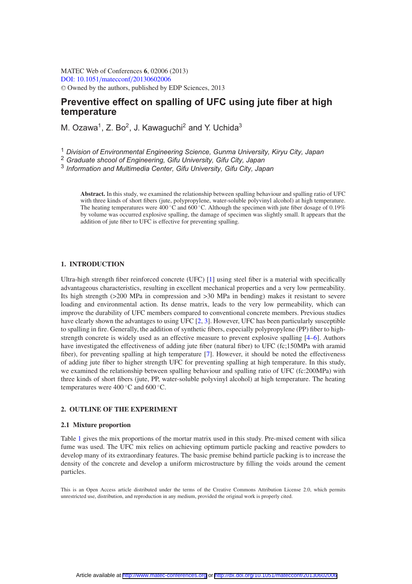MATEC Web of Conferences **6**, 02006 (2013) [DOI: 10.1051](http://dx.doi.org/10.1051/matecconf/20130602006)/matecconf/20130602006 <sup>C</sup> Owned by the authors, published by EDP Sciences, 2013

# **Preventive effect on spalling of UFC using jute fiber at high temperature**

M. Ozawa<sup>1</sup>, Z. Bo<sup>2</sup>, J. Kawaguchi<sup>2</sup> and Y. Uchida<sup>3</sup>

<sup>1</sup> *Division of Environmental Engineering Science, Gunma University, Kiryu City, Japan*

<sup>2</sup> *Graduate shcool of Engineering, Gifu University, Gifu City, Japan*

<sup>3</sup> *Information and Multimedia Center, Gifu University, Gifu City, Japan*

**Abstract.** In this study, we examined the relationship between spalling behaviour and spalling ratio of UFC with three kinds of short fibers (jute, polypropylene, water-soluble polyvinyl alcohol) at high temperature. The heating temperatures were  $400 °C$  and  $600 °C$ . Although the specimen with jute fiber dosage of 0.19% by volume was occurred explosive spalling, the damage of specimen was slightly small. It appears that the addition of jute fiber to UFC is effective for preventing spalling.

# **1. INTRODUCTION**

Ultra-high strength fiber reinforced concrete (UFC) [\[1\]](#page-5-0) using steel fiber is a material with specifically advantageous characteristics, resulting in excellent mechanical properties and a very low permeability. Its high strength (>200 MPa in compression and >30 MPa in bending) makes it resistant to severe loading and environmental action. Its dense matrix, leads to the very low permeability, which can improve the durability of UFC members compared to conventional concrete members. Previous studies have clearly shown the advantages to using UFC [\[2](#page-5-1), [3](#page-5-2)]. However, UFC has been particularly susceptible to spalling in fire. Generally, the addition of synthetic fibers, especially polypropylene (PP) fiber to highstrength concrete is widely used as an effective measure to prevent explosive spalling [\[4](#page-5-3)[–6\]](#page-5-4). Authors have investigated the effectiveness of adding jute fiber (natural fiber) to UFC (fc;150MPa with aramid fiber), for preventing spalling at high temperature [\[7](#page-5-5)]. However, it should be noted the effectiveness of adding jute fiber to higher strength UFC for preventing spalling at high temperature. In this study, we examined the relationship between spalling behaviour and spalling ratio of UFC (fc:200MPa) with three kinds of short fibers (jute, PP, water-soluble polyvinyl alcohol) at high temperature. The heating temperatures were  $400\degree$ C and  $600\degree$ C.

### **2. OUTLINE OF THE EXPERIMENT**

## **2.1 Mixture proportion**

Table [1](#page-1-0) gives the mix proportions of the mortar matrix used in this study. Pre-mixed cement with silica fume was used. The UFC mix relies on achieving optimum particle packing and reactive powders to develop many of its extraordinary features. The basic premise behind particle packing is to increase the density of the concrete and develop a uniform microstructure by filling the voids around the cement particles.

This is an Open Access article distributed under the terms of the Creative Commons Attribution License 2.0, which permits unrestricted use, distribution, and reproduction in any medium, provided the original work is properly cited.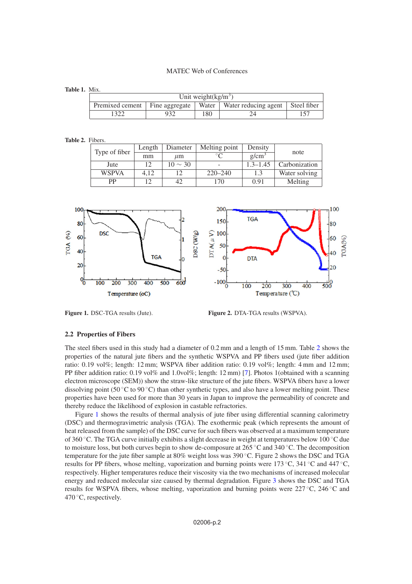### MATEC Web of Conferences

#### <span id="page-1-0"></span>**Table 1.** Mix.

| Unit weight $(kg/m^3)$ |  |     |                                                                               |  |  |  |  |
|------------------------|--|-----|-------------------------------------------------------------------------------|--|--|--|--|
|                        |  |     | Premixed cement   Fine aggregate   Water   Water reducing agent   Steel fiber |  |  |  |  |
| 322                    |  | 180 |                                                                               |  |  |  |  |

#### <span id="page-1-1"></span>**Table 2.** Fibers.

| Type of fiber | Length | Diameter     | Melting point | Density           | note          |  |
|---------------|--------|--------------|---------------|-------------------|---------------|--|
|               | mm     | $\mu$ m      |               | g/cm <sup>3</sup> |               |  |
| Jute          | 12     | $10 \sim 30$ |               | $1.3 - 1.45$      | Carbonization |  |
| <b>WSPVA</b>  | 4.12   |              | $220 - 240$   | 1.3               | Water solving |  |
| PP            | 1 າ    | 42           | 70            | 0.91              | Melting       |  |

<span id="page-1-2"></span>

**Figure 1.** DSC-TGA results (Jute). **Figure 2.** DTA-TGA results (WSPVA).

#### **2.2 Properties of Fibers**

The steel fibers used in this study had a diameter of 0.2 mm and a length of 15 mm. Table [2](#page-1-1) shows the properties of the natural jute fibers and the synthetic WSPVA and PP fibers used (jute fiber addition ratio: 0.19 vol%; length: 12 mm; WSPVA fiber addition ratio: 0.19 vol%; length: 4 mm and 12 mm; PP fiber addition ratio: 0.19 vol% and 1.0vol%; length: 12 mm) [\[7](#page-5-5)]. Photos 1(obtained with a scanning electron microscope (SEM)) show the straw-like structure of the jute fibers. WSPVA fibers have a lower dissolving point (50 °C to 90 °C) than other synthetic types, and also have a lower melting point. These properties have been used for more than 30 years in Japan to improve the permeability of concrete and thereby reduce the likelihood of explosion in castable refractories.

Figure [1](#page-1-2) shows the results of thermal analysis of jute fiber using differential scanning calorimetry (DSC) and thermogravimetric analysis (TGA). The exothermic peak (which represents the amount of heat released from the sample) of the DSC curve for such fibers was observed at a maximum temperature of 360 ◦C. The TGA curve initially exhibits a slight decrease in weight at temperatures below 100 ◦C due to moisture loss, but both curves begin to show de-composure at  $265^{\circ}$ C and  $340^{\circ}$ C. The decomposition temperature for the jute fiber sample at 80% weight loss was 390 ◦C. Figure 2 shows the DSC and TGA results for PP fibers, whose melting, vaporization and burning points were 173 ◦C, 341 ◦C and 447 ◦C, respectively. Higher temperatures reduce their viscosity via the two mechanisms of increased molecular energy and reduced molecular size caused by thermal degradation. Figure [3](#page-2-0) shows the DSC and TGA results for WSPVA fibers, whose melting, vaporization and burning points were 227 ◦C, 246 ◦C and 470 ◦C, respectively.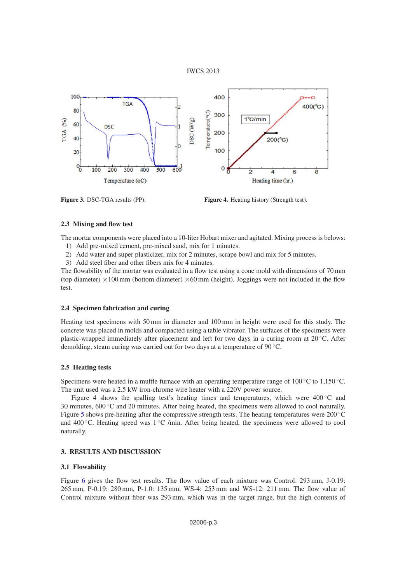# IWCS 2013

<span id="page-2-0"></span>

**Figure 3.** DSC-TGA results (PP). **Figure 4.** Heating history (Strength test).

# **2.3 Mixing and flow test**

The mortar components were placed into a 10-liter Hobart mixer and agitated. Mixing process is belows:

- 1) Add pre-mixed cement, pre-mixed sand, mix for 1 minutes.
- 2) Add water and super plasticizer, mix for 2 minutes, scrape bowl and mix for 5 minutes.
- 3) Add steel fiber and other fibers mix for 4 minutes.

The flowability of the mortar was evaluated in a flow test using a cone mold with dimensions of 70 mm (top diameter)  $\times$ 100 mm (bottom diameter)  $\times$ 60 mm (height). Joggings were not included in the flow test.

# **2.4 Specimen fabrication and curing**

Heating test specimens with 50 mm in diameter and 100 mm in height were used for this study. The concrete was placed in molds and compacted using a table vibrator. The surfaces of the specimens were plastic-wrapped immediately after placement and left for two days in a curing room at  $20^{\circ}$ C. After demolding, steam curing was carried out for two days at a temperature of 90 ◦C.

# **2.5 Heating tests**

Specimens were heated in a muffle furnace with an operating temperature range of  $100\degree\text{C}$  to  $1,150\degree\text{C}$ . The unit used was a 2.5 kW iron-chrome wire heater with a 220V power source.

Figure 4 shows the spalling test's heating times and temperatures, which were 400 ◦C and 30 minutes,  $600\degree$ C and 20 minutes. After being heated, the specimens were allowed to cool naturally. Figure [5](#page-3-0) shows pre-heating after the compressive strength tests. The heating temperatures were  $200\degree\text{C}$ and 400 °C. Heating speed was  $1\degree$ C /min. After being heated, the specimens were allowed to cool naturally.

# **3. RESULTS AND DISCUSSION**

# **3.1 Flowability**

Figure 6 gives the flow test results. The flow value of each mixture was Control: 293 mm, J-0.19: 265 mm, P-0.19: 280 mm, P-1.0: 135 mm, WS-4: 253 mm and WS-12: 211 mm. The flow value of Control mixture without fiber was 293 mm, which was in the target range, but the high contents of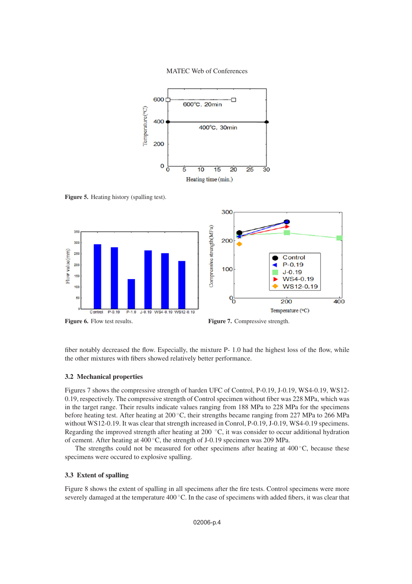MATEC Web of Conferences



<span id="page-3-0"></span>Figure 5. Heating history (spalling test).





fiber notably decreased the flow. Especially, the mixture P- 1.0 had the highest loss of the flow, while the other mixtures with fibers showed relatively better performance.

#### **3.2 Mechanical properties**

Figures 7 shows the compressive strength of harden UFC of Control, P-0.19, J-0.19, WS4-0.19, WS12- 0.19, respectively. The compressive strength of Control specimen without fiber was 228 MPa, which was in the target range. Their results indicate values ranging from 188 MPa to 228 MPa for the specimens before heating test. After heating at 200 ◦C, their strengths became ranging from 227 MPa to 266 MPa without WS12-0.19. It was clear that strength increased in Conrol, P-0.19, J-0.19, WS4-0.19 specimens. Regarding the improved strength after heating at 200 ◦C, it was consider to occur additional hydration of cement. After heating at 400 ◦C, the strength of J-0.19 specimen was 209 MPa.

The strengths could not be measured for other specimens after heating at  $400\degree\text{C}$ , because these specimens were occured to explosive spalling.

# **3.3 Extent of spalling**

Figure 8 shows the extent of spalling in all specimens after the fire tests. Control specimens were more severely damaged at the temperature 400 °C. In the case of specimens with added fibers, it was clear that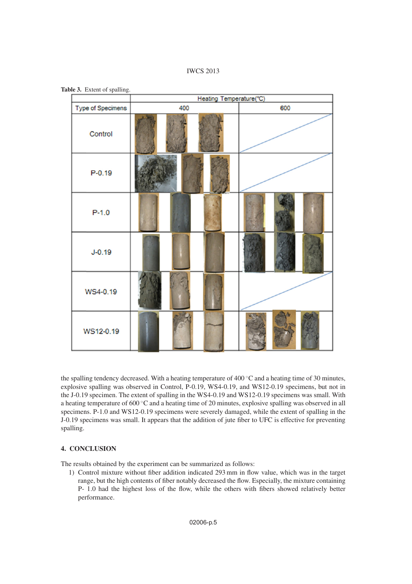

**Table 3.** Extent of spalling.

|                   | Heating Temperature(°C) |  |     |  |  |  |  |
|-------------------|-------------------------|--|-----|--|--|--|--|
| Type of Specimens | 400                     |  | 600 |  |  |  |  |
| Control           |                         |  |     |  |  |  |  |
| $P - 0.19$        |                         |  |     |  |  |  |  |
| $P-1.0$           |                         |  |     |  |  |  |  |
| $J - 0.19$        |                         |  |     |  |  |  |  |
| WS4-0.19          |                         |  |     |  |  |  |  |
| WS12-0.19         |                         |  |     |  |  |  |  |

the spalling tendency decreased. With a heating temperature of 400 ◦C and a heating time of 30 minutes, explosive spalling was observed in Control, P-0.19, WS4-0.19, and WS12-0.19 specimens, but not in the J-0.19 specimen. The extent of spalling in the WS4-0.19 and WS12-0.19 specimens was small. With a heating temperature of 600 ◦C and a heating time of 20 minutes, explosive spalling was observed in all specimens. P-1.0 and WS12-0.19 specimens were severely damaged, while the extent of spalling in the J-0.19 specimens was small. It appears that the addition of jute fiber to UFC is effective for preventing spalling.

# **4. CONCLUSION**

The results obtained by the experiment can be summarized as follows:

1) Control mixture without fiber addition indicated 293 mm in flow value, which was in the target range, but the high contents of fiber notably decreased the flow. Especially, the mixture containing P- 1.0 had the highest loss of the flow, while the others with fibers showed relatively better performance.